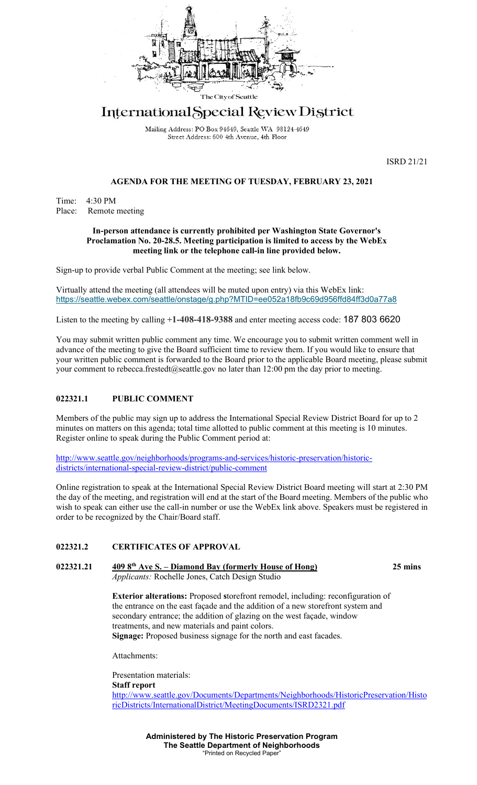

# International Special Review District

Mailing Address: PO Box 94649, Seattle WA 98124-4649 Street Address: 600 4th Avenue, 4th Floor

ISRD 21/21

### **AGENDA FOR THE MEETING OF TUESDAY, FEBRUARY 23, 2021**

Time: 4:30 PM Place: Remote meeting

#### **In-person attendance is currently prohibited per Washington State Governor's Proclamation No. 20-28.5. Meeting participation is limited to access by the WebEx meeting link or the telephone call-in line provided below.**

Sign-up to provide verbal Public Comment at the meeting; see link below.

Virtually attend the meeting (all attendees will be muted upon entry) via this WebEx link: <https://seattle.webex.com/seattle/onstage/g.php?MTID=ee052a18fb9c69d956ffd84ff3d0a77a8>

Listen to the meeting by calling **+1-408-418-9388** and enter meeting access code: 187 803 6620

You may submit written public comment any time. We encourage you to submit written comment well in advance of the meeting to give the Board sufficient time to review them. If you would like to ensure that your written public comment is forwarded to the Board prior to the applicable Board meeting, please submit your comment to rebecca.frestedt@seattle.gov no later than 12:00 pm the day prior to meeting.

## **022321.1 PUBLIC COMMENT**

Members of the public may sign up to address the International Special Review District Board for up to 2 minutes on matters on this agenda; total time allotted to public comment at this meeting is 10 minutes. Register online to speak during the Public Comment period at:

[http://www.seattle.gov/neighborhoods/programs-and-services/historic-preservation/historic](http://www.seattle.gov/neighborhoods/programs-and-services/historic-preservation/historic-districts/international-special-review-district/public-comment)[districts/international-special-review-district/public-comment](http://www.seattle.gov/neighborhoods/programs-and-services/historic-preservation/historic-districts/international-special-review-district/public-comment)

Online registration to speak at the International Special Review District Board meeting will start at 2:30 PM the day of the meeting, and registration will end at the start of the Board meeting. Members of the public who wish to speak can either use the call-in number or use the WebEx link above. Speakers must be registered in order to be recognized by the Chair/Board staff.

#### **022321.2 CERTIFICATES OF APPROVAL**

**022321.21 409 8th Ave S. – Diamond Bay (formerly House of Hong) 25 mins** *Applicants:* Rochelle Jones, Catch Design Studio

**Exterior alterations:** Proposed **s**torefront remodel, including: reconfiguration of the entrance on the east façade and the addition of a new storefront system and secondary entrance; the addition of glazing on the west façade, window treatments, and new materials and paint colors.

**Signage:** Proposed business signage for the north and east facades.

Attachments:

Presentation materials: **Staff report** [http://www.seattle.gov/Documents/Departments/Neighborhoods/HistoricPreservation/Histo](http://www.seattle.gov/Documents/Departments/Neighborhoods/HistoricPreservation/HistoricDistricts/InternationalDistrict/MeetingDocuments/ISRD2321.pdf) [ricDistricts/InternationalDistrict/MeetingDocuments/ISRD2321.pdf](http://www.seattle.gov/Documents/Departments/Neighborhoods/HistoricPreservation/HistoricDistricts/InternationalDistrict/MeetingDocuments/ISRD2321.pdf)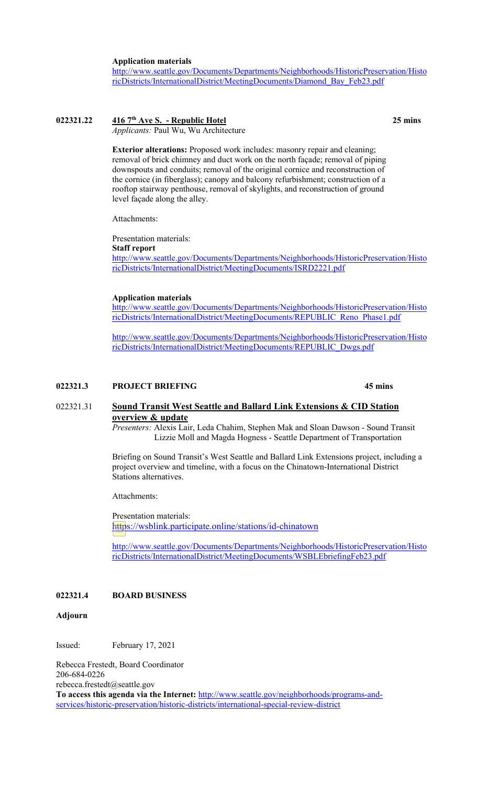**Application materials**

[http://www.seattle.gov/Documents/Departments/Neighborhoods/HistoricPreservation/Histo](http://www.seattle.gov/Documents/Departments/Neighborhoods/HistoricPreservation/HistoricDistricts/InternationalDistrict/MeetingDocuments/Diamond_Bay_Feb23.pdf) [ricDistricts/InternationalDistrict/MeetingDocuments/Diamond\\_Bay\\_Feb23.pdf](http://www.seattle.gov/Documents/Departments/Neighborhoods/HistoricPreservation/HistoricDistricts/InternationalDistrict/MeetingDocuments/Diamond_Bay_Feb23.pdf)

## **022321.22 416 7th Ave S. - Republic Hotel 25 mins**

*Applicants:* Paul Wu, Wu Architecture

**Exterior alterations:** Proposed work includes: masonry repair and cleaning; removal of brick chimney and duct work on the north façade; removal of piping downspouts and conduits; removal of the original cornice and reconstruction of the cornice (in fiberglass); canopy and balcony refurbishment; construction of a rooftop stairway penthouse, removal of skylights, and reconstruction of ground level façade along the alley.

Attachments:

Presentation materials: **Staff report** [http://www.seattle.gov/Documents/Departments/Neighborhoods/HistoricPreservation/Histo](http://www.seattle.gov/Documents/Departments/Neighborhoods/HistoricPreservation/HistoricDistricts/InternationalDistrict/MeetingDocuments/ISRD2221.pdf) [ricDistricts/InternationalDistrict/MeetingDocuments/ISRD2221.pdf](http://www.seattle.gov/Documents/Departments/Neighborhoods/HistoricPreservation/HistoricDistricts/InternationalDistrict/MeetingDocuments/ISRD2221.pdf)

#### **Application materials**

[http://www.seattle.gov/Documents/Departments/Neighborhoods/HistoricPreservation/Histo](http://www.seattle.gov/Documents/Departments/Neighborhoods/HistoricPreservation/HistoricDistricts/InternationalDistrict/MeetingDocuments/REPUBLIC_Reno_Phase1.pdf) [ricDistricts/InternationalDistrict/MeetingDocuments/REPUBLIC\\_Reno\\_Phase1.pdf](http://www.seattle.gov/Documents/Departments/Neighborhoods/HistoricPreservation/HistoricDistricts/InternationalDistrict/MeetingDocuments/REPUBLIC_Reno_Phase1.pdf)

[http://www.seattle.gov/Documents/Departments/Neighborhoods/HistoricPreservation/Histo](http://www.seattle.gov/Documents/Departments/Neighborhoods/HistoricPreservation/HistoricDistricts/InternationalDistrict/MeetingDocuments/REPUBLIC_Dwgs.pdf) [ricDistricts/InternationalDistrict/MeetingDocuments/REPUBLIC\\_Dwgs.pdf](http://www.seattle.gov/Documents/Departments/Neighborhoods/HistoricPreservation/HistoricDistricts/InternationalDistrict/MeetingDocuments/REPUBLIC_Dwgs.pdf)

## **022321.3 PROJECT BRIEFING 45 mins**

## 022321.31 **Sound Transit West Seattle and Ballard Link Extensions & CID Station overview & update**

*Presenters:* Alexis Lair, Leda Chahim, Stephen Mak and Sloan Dawson - Sound Transit Lizzie Moll and Magda Hogness - Seattle Department of Transportation

Briefing on Sound Transit's West Seattle and Ballard Link Extensions project, including a project overview and timeline, with a focus on the Chinatown-International District Stations alternatives.

Attachments:

Presentation materials: [https://wsblink.participate.online/stations/id-chinatown](https://protect2.fireeye.com/v1/url?k=71722fd0-2ee916f6-71720760-867666c9b37a-d4f5c1ecc125f4d3&q=1&e=f2e5008a-be38-4f31-b2a3-902748c89325&u=https%3A%2F%2Fwsblink.participate.online%2Fstations%2Fid-chinatown)

[http://www.seattle.gov/Documents/Departments/Neighborhoods/HistoricPreservation/Histo](http://www.seattle.gov/Documents/Departments/Neighborhoods/HistoricPreservation/HistoricDistricts/InternationalDistrict/MeetingDocuments/WSBLEbriefingFeb23.pdf) [ricDistricts/InternationalDistrict/MeetingDocuments/WSBLEbriefingFeb23.pdf](http://www.seattle.gov/Documents/Departments/Neighborhoods/HistoricPreservation/HistoricDistricts/InternationalDistrict/MeetingDocuments/WSBLEbriefingFeb23.pdf)

## **022321.4 BOARD BUSINESS**

#### **Adjourn**

Issued: February 17, 2021

Rebecca Frestedt, Board Coordinator 206-684-0226 rebecca.frestedt@seattle.gov **To access this agenda via the Internet:** [http://www.seattle.gov/neighborhoods/programs-and](http://www.seattle.gov/neighborhoods/programs-and-services/historic-preservation/historic-districts/international-special-review-district)[services/historic-preservation/historic-districts/international-special-review-district](http://www.seattle.gov/neighborhoods/programs-and-services/historic-preservation/historic-districts/international-special-review-district)